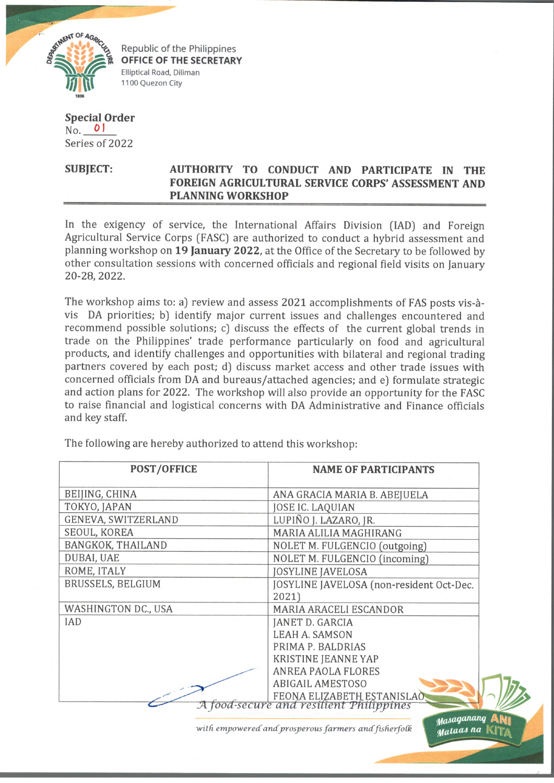

Republic of the Philippines OFFICE OF THE SECRETARY Elliptical Road, Diliman 1100 Quezon City

## **Special Order**  $N<sub>0</sub>$  0 Series of 2022

## **SUBJECT: AUTHORITY TO CONDUCT AND PARTICIPATE IN THE FOREIGN AGRICULTURAL SERVICE CORPS' ASSESSMENT AND PLANNING WORKSHOP**

In the exigency of service, the International Affairs Division (IAD) and Foreign Agricultural Service Corps (FASC) are authorized to conduct a hybrid assessment and planning workshop on **19 January 2022,** at the Office of the Secretary to be followed by other consultation sessions with concerned officials and regional field visits on January 20-28,2022.

The workshop aims to: a) review and assess 2021 accomplishments of FAS posts vis-avis DA priorities; b] identify major current issues and challenges encountered and recommend possible solutions; c) discuss the effects of the current global trends in trade on the Philippines' trade performance particularly on food and agricultural products, and identify challenges and opportunities with bilateral and regional trading partners covered by each post; d) discuss market access and other trade issues with concerned officials from DA and bureaus/attached agencies; and e) formulate strategic and action plans for 2022. The workshop will also provide an opportunity for the FASC to raise financial and logistical concerns with DA Administrative and Finance officials and key staff.

The following are hereby authorized to attend this workshop:

| <b>POST/OFFICE</b>  | <b>NAME OF PARTICIPANTS</b>                                           |
|---------------------|-----------------------------------------------------------------------|
| BEIJING, CHINA      | ANA GRACIA MARIA B. ABEJUELA                                          |
| TOKYO, JAPAN        | JOSE IC. LAQUIAN                                                      |
| GENEVA, SWITZERLAND | LUPIÑO J. LAZARO, JR.                                                 |
| SEOUL, KOREA        | MARIA ALILIA MAGHIRANG                                                |
| BANGKOK, THAILAND   | NOLET M. FULGENCIO (outgoing)                                         |
| DUBAI, UAE          | NOLET M. FULGENCIO (incoming)                                         |
| ROME, ITALY         | <b>JOSYLINE JAVELOSA</b>                                              |
| BRUSSELS, BELGIUM   | JOSYLINE JAVELOSA (non-resident Oct-Dec.                              |
|                     | 2021)                                                                 |
| WASHINGTON DC., USA | MARIA ARACELI ESCANDOR                                                |
| <b>IAD</b>          | JANET D. GARCIA                                                       |
|                     | <b>LEAH A. SAMSON</b>                                                 |
|                     | PRIMA P. BALDRIAS                                                     |
|                     | <b>KRISTINE JEANNE YAP</b>                                            |
|                     | <b>ANREA PAOLA FLORES</b>                                             |
|                     | <b>ABIGAIL AMESTOSO</b>                                               |
|                     | FEONA ELIZABETH ESTANISLAO<br>A food-secure and resilient Philippines |
|                     | Masaganang                                                            |

with empowered and prosperous farmers and fisherfolk

*Malaas na* |